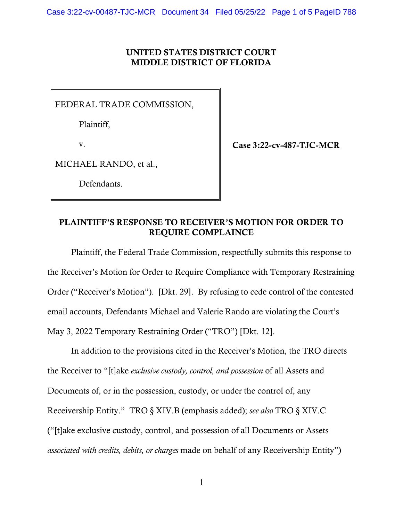## UNITED STATES DISTRICT COURT MIDDLE DISTRICT OF FLORIDA

FEDERAL TRADE COMMISSION,

Plaintiff,

v.

Case 3:22-cv-487-TJC-MCR

MICHAEL RANDO, et al.,

Defendants.

# PLAINTIFF'S RESPONSE TO RECEIVER'S MOTION FOR ORDER TO REQUIRE COMPLAINCE

Plaintiff, the Federal Trade Commission, respectfully submits this response to the Receiver's Motion for Order to Require Compliance with Temporary Restraining Order ("Receiver's Motion"). [Dkt. 29]. By refusing to cede control of the contested email accounts, Defendants Michael and Valerie Rando are violating the Court's May 3, 2022 Temporary Restraining Order ("TRO") [Dkt. 12].

In addition to the provisions cited in the Receiver's Motion, the TRO directs the Receiver to "[t]ake *exclusive custody, control, and possession* of all Assets and Documents of, or in the possession, custody, or under the control of, any Receivership Entity." TRO § XIV.B (emphasis added); *see also* TRO § XIV.C ("[t]ake exclusive custody, control, and possession of all Documents or Assets *associated with credits, debits, or charges* made on behalf of any Receivership Entity")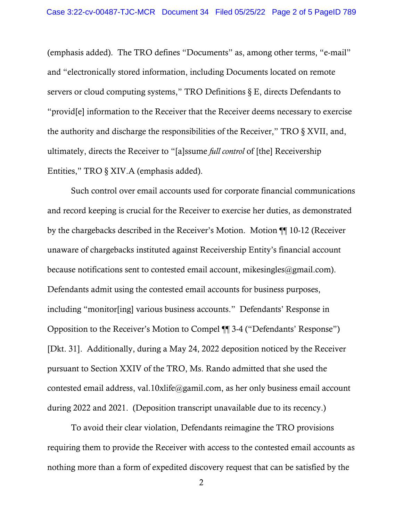(emphasis added). The TRO defines "Documents" as, among other terms, "e-mail" and "electronically stored information, including Documents located on remote servers or cloud computing systems," TRO Definitions § E, directs Defendants to "provid[e] information to the Receiver that the Receiver deems necessary to exercise the authority and discharge the responsibilities of the Receiver," TRO § XVII, and, ultimately, directs the Receiver to "[a]ssume *full control* of [the] Receivership Entities," TRO § XIV.A (emphasis added).

Such control over email accounts used for corporate financial communications and record keeping is crucial for the Receiver to exercise her duties, as demonstrated by the chargebacks described in the Receiver's Motion. Motion ¶¶ 10-12 (Receiver unaware of chargebacks instituted against Receivership Entity's financial account because notifications sent to contested email account, mikesingles $@g$ gmail.com). Defendants admit using the contested email accounts for business purposes, including "monitor[ing] various business accounts." Defendants' Response in Opposition to the Receiver's Motion to Compel ¶¶ 3-4 ("Defendants' Response") [Dkt. 31]. Additionally, during a May 24, 2022 deposition noticed by the Receiver pursuant to Section XXIV of the TRO, Ms. Rando admitted that she used the contested email address, val.10xlife@gamil.com, as her only business email account during 2022 and 2021. (Deposition transcript unavailable due to its recency.)

To avoid their clear violation, Defendants reimagine the TRO provisions requiring them to provide the Receiver with access to the contested email accounts as nothing more than a form of expedited discovery request that can be satisfied by the

2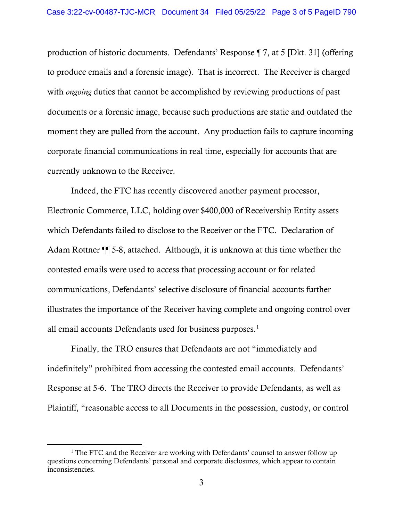production of historic documents. Defendants' Response ¶ 7, at 5 [Dkt. 31] (offering to produce emails and a forensic image). That is incorrect. The Receiver is charged with *ongoing* duties that cannot be accomplished by reviewing productions of past documents or a forensic image, because such productions are static and outdated the moment they are pulled from the account. Any production fails to capture incoming corporate financial communications in real time, especially for accounts that are currently unknown to the Receiver.

Indeed, the FTC has recently discovered another payment processor, Electronic Commerce, LLC, holding over \$400,000 of Receivership Entity assets which Defendants failed to disclose to the Receiver or the FTC. Declaration of Adam Rottner ¶¶ 5-8, attached. Although, it is unknown at this time whether the contested emails were used to access that processing account or for related communications, Defendants' selective disclosure of financial accounts further illustrates the importance of the Receiver having complete and ongoing control over all email accounts Defendants used for business purposes. [1](#page-2-0)

Finally, the TRO ensures that Defendants are not "immediately and indefinitely" prohibited from accessing the contested email accounts. Defendants' Response at 5-6. The TRO directs the Receiver to provide Defendants, as well as Plaintiff, "reasonable access to all Documents in the possession, custody, or control

<span id="page-2-0"></span><sup>&</sup>lt;sup>1</sup> The FTC and the Receiver are working with Defendants' counsel to answer follow up questions concerning Defendants' personal and corporate disclosures, which appear to contain inconsistencies.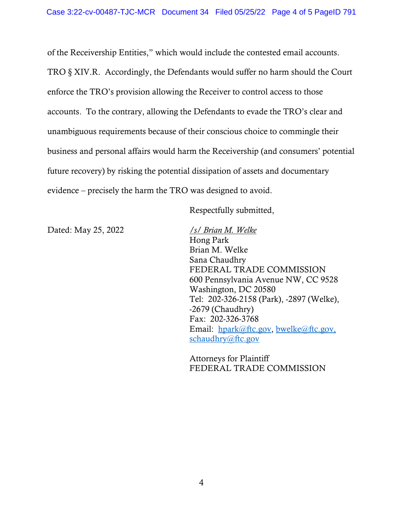of the Receivership Entities," which would include the contested email accounts. TRO § XIV.R. Accordingly, the Defendants would suffer no harm should the Court enforce the TRO's provision allowing the Receiver to control access to those accounts. To the contrary, allowing the Defendants to evade the TRO's clear and unambiguous requirements because of their conscious choice to commingle their business and personal affairs would harm the Receivership (and consumers' potential future recovery) by risking the potential dissipation of assets and documentary evidence – precisely the harm the TRO was designed to avoid.

Respectfully submitted,

Dated: May 25, 2022 */s/ Brian M. Welke* 

Hong Park Brian M. Welke Sana Chaudhry FEDERAL TRADE COMMISSION 600 Pennsylvania Avenue NW, CC 9528 Washington, DC 20580 Tel: 202-326-2158 (Park), -2897 (Welke), -2679 (Chaudhry) Fax: 202-326-3768 Email: [hpark@ftc.gov,](mailto:hpark@ftc.gov) [bwelke@ftc.gov,](mailto:bwelke@ftc.gov) schaudhry@ftc.gov

Attorneys for Plaintiff FEDERAL TRADE COMMISSION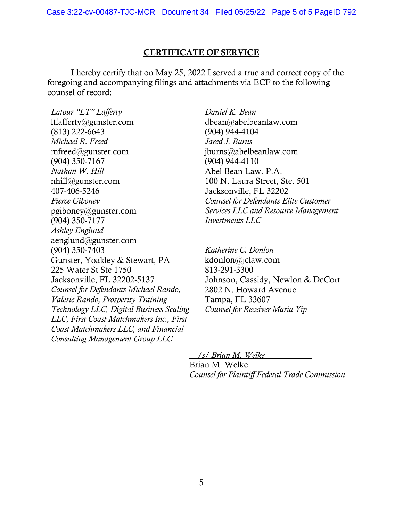#### CERTIFICATE OF SERVICE

I hereby certify that on May 25, 2022 I served a true and correct copy of the foregoing and accompanying filings and attachments via ECF to the following counsel of record:

*Latour "LT" Lafferty* ltlafferty@gunster.com (813) 222-6643 *Michael R. Freed* mfreed@gunster.com (904) 350-7167 *Nathan W. Hill* nhill@gunster.com 407-406-5246 *Pierce Giboney* pgiboney@gunster.com (904) 350-7177 *Ashley Englund* aenglund@gunster.com (904) 350-7403 Gunster, Yoakley & Stewart, PA 225 Water St Ste 1750 Jacksonville, FL 32202-5137 *Counsel for Defendants Michael Rando, Valerie Rando, Prosperity Training Technology LLC, Digital Business Scaling LLC, First Coast Matchmakers Inc., First Coast Matchmakers LLC, and Financial Consulting Management Group LLC* 

*Daniel K. Bean* dbean@abelbeanlaw.com (904) 944-4104 *Jared J. Burns* jburns@abelbeanlaw.com (904) 944-4110 Abel Bean Law. P.A. 100 N. Laura Street, Ste. 501 Jacksonville, FL 32202 *Counsel for Defendants Elite Customer Services LLC and Resource Management Investments LLC*

*Katherine C. Donlon* kdonlon@jclaw.com 813-291-3300 Johnson, Cassidy, Newlon & DeCort 2802 N. Howard Avenue Tampa, FL 33607 *Counsel for Receiver Maria Yip* 

 */s/ Brian M. Welke*  Brian M. Welke *Counsel for Plaintiff Federal Trade Commission*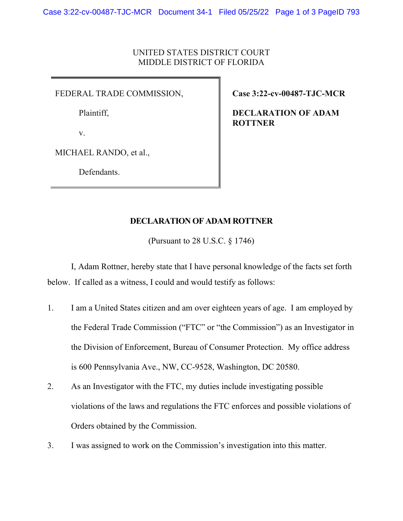## UNITED STATES DISTRICT COURT MIDDLE DISTRICT OF FLORIDA

FEDERAL TRADE COMMISSION,

Plaintiff,

v.

MICHAEL RANDO, et al.,

Defendants.

**Case 3:22-cv-00487-TJC-MCR** 

**DECLARATION OF ADAM ROTTNER** 

### **DECLARATION OF ADAM ROTTNER**

(Pursuant to 28 U.S.C. § 1746)

I, Adam Rottner, hereby state that I have personal knowledge of the facts set forth below. If called as a witness, I could and would testify as follows:

- 1. I am a United States citizen and am over eighteen years of age. I am employed by the Federal Trade Commission ("FTC" or "the Commission") as an Investigator in the Division of Enforcement, Bureau of Consumer Protection. My office address is 600 Pennsylvania Ave., NW, CC-9528, Washington, DC 20580.
- 2. As an Investigator with the FTC, my duties include investigating possible violations of the laws and regulations the FTC enforces and possible violations of Orders obtained by the Commission.
- 3. I was assigned to work on the Commission's investigation into this matter.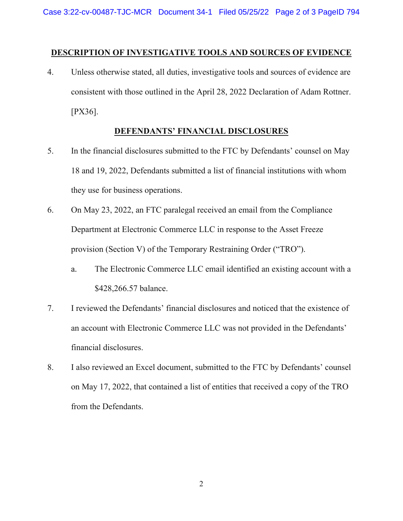#### **DESCRIPTION OF INVESTIGATIVE TOOLS AND SOURCES OF EVIDENCE**

4. Unless otherwise stated, all duties, investigative tools and sources of evidence are consistent with those outlined in the April 28, 2022 Declaration of Adam Rottner. [PX36].

#### **DEFENDANTS' FINANCIAL DISCLOSURES**

- 5. In the financial disclosures submitted to the FTC by Defendants' counsel on May 18 and 19, 2022, Defendants submitted a list of financial institutions with whom they use for business operations.
- 6. On May 23, 2022, an FTC paralegal received an email from the Compliance Department at Electronic Commerce LLC in response to the Asset Freeze provision (Section V) of the Temporary Restraining Order ("TRO").
	- a. The Electronic Commerce LLC email identified an existing account with a \$428,266.57 balance.
- 7. I reviewed the Defendants' financial disclosures and noticed that the existence of an account with Electronic Commerce LLC was not provided in the Defendants' financial disclosures.
- 8. I also reviewed an Excel document, submitted to the FTC by Defendants' counsel on May 17, 2022, that contained a list of entities that received a copy of the TRO from the Defendants.